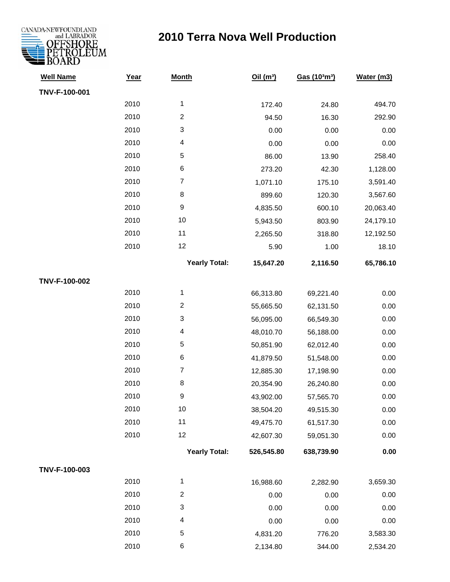

| <b>Well Name</b> | Year | <b>Month</b>         | Oil(m <sup>3</sup> ) | Gas (10 <sup>3</sup> m <sup>3</sup> ) | Water (m3) |
|------------------|------|----------------------|----------------------|---------------------------------------|------------|
| TNV-F-100-001    |      |                      |                      |                                       |            |
|                  | 2010 | $\mathbf{1}$         | 172.40               | 24.80                                 | 494.70     |
|                  | 2010 | $\overline{c}$       | 94.50                | 16.30                                 | 292.90     |
|                  | 2010 | 3                    | 0.00                 | 0.00                                  | 0.00       |
|                  | 2010 | 4                    | 0.00                 | 0.00                                  | 0.00       |
|                  | 2010 | 5                    | 86.00                | 13.90                                 | 258.40     |
|                  | 2010 | 6                    | 273.20               | 42.30                                 | 1,128.00   |
|                  | 2010 | $\overline{7}$       | 1,071.10             | 175.10                                | 3,591.40   |
|                  | 2010 | 8                    | 899.60               | 120.30                                | 3,567.60   |
|                  | 2010 | $\boldsymbol{9}$     | 4,835.50             | 600.10                                | 20,063.40  |
|                  | 2010 | 10                   | 5,943.50             | 803.90                                | 24,179.10  |
|                  | 2010 | 11                   | 2,265.50             | 318.80                                | 12,192.50  |
|                  | 2010 | 12                   | 5.90                 | 1.00                                  | 18.10      |
|                  |      | <b>Yearly Total:</b> | 15,647.20            | 2,116.50                              | 65,786.10  |
| TNV-F-100-002    |      |                      |                      |                                       |            |
|                  | 2010 | $\mathbf{1}$         | 66,313.80            | 69,221.40                             | 0.00       |
|                  | 2010 | $\overline{c}$       | 55,665.50            | 62,131.50                             | 0.00       |
|                  | 2010 | 3                    | 56,095.00            | 66,549.30                             | 0.00       |
|                  | 2010 | 4                    | 48,010.70            | 56,188.00                             | 0.00       |
|                  | 2010 | 5                    | 50,851.90            | 62,012.40                             | 0.00       |
|                  | 2010 | 6                    | 41,879.50            | 51,548.00                             | 0.00       |
|                  | 2010 | $\overline{7}$       | 12,885.30            | 17,198.90                             | 0.00       |
|                  | 2010 | $\bf 8$              | 20,354.90            | 26,240.80                             | 0.00       |
|                  | 2010 | $\boldsymbol{9}$     | 43,902.00            | 57,565.70                             | 0.00       |
|                  | 2010 | 10                   | 38,504.20            | 49,515.30                             | 0.00       |
|                  | 2010 | 11                   | 49,475.70            | 61,517.30                             | 0.00       |
|                  | 2010 | 12                   | 42,607.30            | 59,051.30                             | 0.00       |
|                  |      | <b>Yearly Total:</b> | 526,545.80           | 638,739.90                            | 0.00       |
| TNV-F-100-003    |      |                      |                      |                                       |            |
|                  | 2010 | $\mathbf{1}$         | 16,988.60            | 2,282.90                              | 3,659.30   |
|                  | 2010 | $\overline{2}$       | 0.00                 | 0.00                                  | 0.00       |
|                  | 2010 | 3                    | 0.00                 | 0.00                                  | 0.00       |
|                  | 2010 | 4                    | 0.00                 | 0.00                                  | 0.00       |
|                  | 2010 | 5                    | 4,831.20             | 776.20                                | 3,583.30   |
|                  | 2010 | 6                    | 2,134.80             | 344.00                                | 2,534.20   |
|                  |      |                      |                      |                                       |            |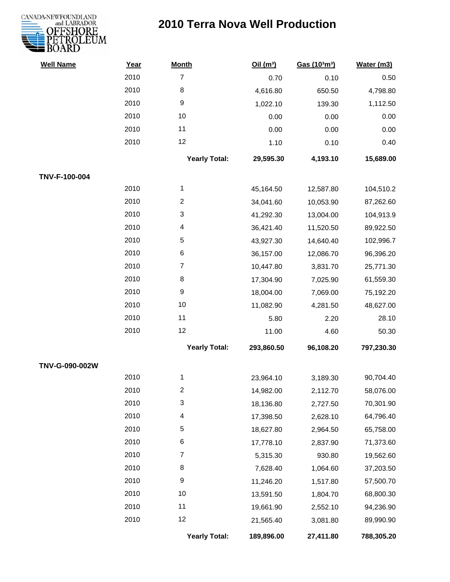

| <b>Well Name</b> | Year | <b>Month</b>            | Oil (m <sup>3</sup> ) | Gas (103m3) | Water (m3) |
|------------------|------|-------------------------|-----------------------|-------------|------------|
|                  | 2010 | $\overline{7}$          | 0.70                  | 0.10        | 0.50       |
|                  | 2010 | 8                       | 4,616.80              | 650.50      | 4,798.80   |
|                  | 2010 | $\boldsymbol{9}$        | 1,022.10              | 139.30      | 1,112.50   |
|                  | 2010 | 10                      | 0.00                  | 0.00        | 0.00       |
|                  | 2010 | 11                      | 0.00                  | 0.00        | 0.00       |
|                  | 2010 | 12                      | 1.10                  | 0.10        | 0.40       |
|                  |      | <b>Yearly Total:</b>    | 29,595.30             | 4,193.10    | 15,689.00  |
| TNV-F-100-004    |      |                         |                       |             |            |
|                  | 2010 | $\mathbf{1}$            | 45,164.50             | 12,587.80   | 104,510.2  |
|                  | 2010 | $\overline{\mathbf{c}}$ | 34,041.60             | 10,053.90   | 87,262.60  |
|                  | 2010 | 3                       | 41,292.30             | 13,004.00   | 104,913.9  |
|                  | 2010 | 4                       | 36,421.40             | 11,520.50   | 89,922.50  |
|                  | 2010 | 5                       | 43,927.30             | 14,640.40   | 102,996.7  |
|                  | 2010 | 6                       | 36,157.00             | 12,086.70   | 96,396.20  |
|                  | 2010 | $\overline{7}$          | 10,447.80             | 3,831.70    | 25,771.30  |
|                  | 2010 | 8                       | 17,304.90             | 7,025.90    | 61,559.30  |
|                  | 2010 | $\boldsymbol{9}$        | 18,004.00             | 7,069.00    | 75,192.20  |
|                  | 2010 | 10                      | 11,082.90             | 4,281.50    | 48,627.00  |
|                  | 2010 | 11                      | 5.80                  | 2.20        | 28.10      |
|                  | 2010 | 12                      | 11.00                 | 4.60        | 50.30      |
|                  |      | <b>Yearly Total:</b>    | 293,860.50            | 96,108.20   | 797,230.30 |
| TNV-G-090-002W   |      |                         |                       |             |            |
|                  | 2010 | 1                       | 23,964.10             | 3,189.30    | 90,704.40  |
|                  | 2010 | $\mathfrak{p}$          | 14,982.00             | 2,112.70    | 58,076.00  |
|                  | 2010 | 3                       | 18,136.80             | 2,727.50    | 70,301.90  |
|                  | 2010 | 4                       | 17,398.50             | 2,628.10    | 64,796.40  |
|                  | 2010 | 5                       | 18,627.80             | 2,964.50    | 65,758.00  |
|                  | 2010 | 6                       | 17,778.10             | 2,837.90    | 71,373.60  |
|                  | 2010 | $\overline{7}$          | 5,315.30              | 930.80      | 19,562.60  |
|                  | 2010 | 8                       | 7,628.40              | 1,064.60    | 37,203.50  |
|                  | 2010 | $\boldsymbol{9}$        | 11,246.20             | 1,517.80    | 57,500.70  |
|                  | 2010 | 10                      | 13,591.50             | 1,804.70    | 68,800.30  |
|                  | 2010 | 11                      | 19,661.90             | 2,552.10    | 94,236.90  |
|                  | 2010 | 12                      | 21,565.40             | 3,081.80    | 89,990.90  |
|                  |      | <b>Yearly Total:</b>    | 189,896.00            | 27,411.80   | 788,305.20 |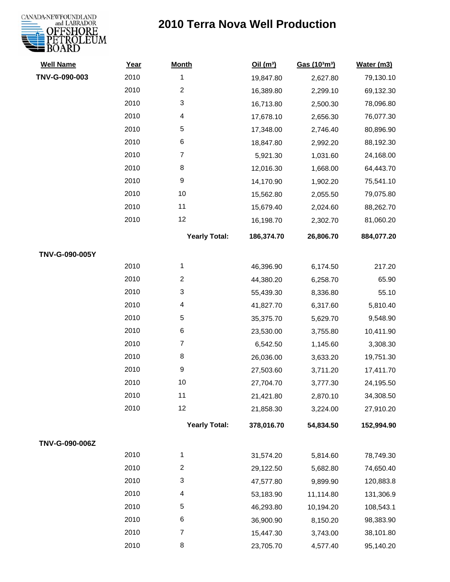

| <b>Well Name</b> | Year | <b>Month</b>         | Oil $(m^3)$ | Gas (103m3) | Water (m3) |
|------------------|------|----------------------|-------------|-------------|------------|
| TNV-G-090-003    | 2010 | 1                    | 19,847.80   | 2,627.80    | 79,130.10  |
|                  | 2010 | $\overline{c}$       | 16,389.80   | 2,299.10    | 69,132.30  |
|                  | 2010 | 3                    | 16,713.80   | 2,500.30    | 78,096.80  |
|                  | 2010 | 4                    | 17,678.10   | 2,656.30    | 76,077.30  |
|                  | 2010 | 5                    | 17,348.00   | 2,746.40    | 80,896.90  |
|                  | 2010 | 6                    | 18,847.80   | 2,992.20    | 88,192.30  |
|                  | 2010 | $\overline{7}$       | 5,921.30    | 1,031.60    | 24,168.00  |
|                  | 2010 | 8                    | 12,016.30   | 1,668.00    | 64,443.70  |
|                  | 2010 | $\boldsymbol{9}$     | 14,170.90   | 1,902.20    | 75,541.10  |
|                  | 2010 | 10                   | 15,562.80   | 2,055.50    | 79,075.80  |
|                  | 2010 | 11                   | 15,679.40   | 2,024.60    | 88,262.70  |
|                  | 2010 | 12                   | 16,198.70   | 2,302.70    | 81,060.20  |
|                  |      | <b>Yearly Total:</b> | 186,374.70  | 26,806.70   | 884,077.20 |
| TNV-G-090-005Y   |      |                      |             |             |            |
|                  | 2010 | 1                    | 46,396.90   | 6,174.50    | 217.20     |
|                  | 2010 | 2                    | 44,380.20   | 6,258.70    | 65.90      |
|                  | 2010 | 3                    | 55,439.30   | 8,336.80    | 55.10      |
|                  | 2010 | 4                    | 41,827.70   | 6,317.60    | 5,810.40   |
|                  | 2010 | 5                    | 35,375.70   | 5,629.70    | 9,548.90   |
|                  | 2010 | 6                    | 23,530.00   | 3,755.80    | 10,411.90  |
|                  | 2010 | $\overline{7}$       | 6,542.50    | 1,145.60    | 3,308.30   |
|                  | 2010 | 8                    | 26,036.00   | 3,633.20    | 19,751.30  |
|                  | 2010 | 9                    | 27,503.60   | 3,711.20    | 17,411.70  |
|                  | 2010 | 10                   | 27,704.70   | 3,777.30    | 24,195.50  |
|                  | 2010 | 11                   | 21,421.80   | 2,870.10    | 34,308.50  |
|                  | 2010 | 12                   | 21,858.30   | 3,224.00    | 27,910.20  |
|                  |      | <b>Yearly Total:</b> | 378,016.70  | 54,834.50   | 152,994.90 |
| TNV-G-090-006Z   |      |                      |             |             |            |
|                  | 2010 | 1                    | 31,574.20   | 5,814.60    | 78,749.30  |
|                  | 2010 | 2                    | 29,122.50   | 5,682.80    | 74,650.40  |
|                  | 2010 | 3                    | 47,577.80   | 9,899.90    | 120,883.8  |
|                  | 2010 | 4                    | 53,183.90   | 11,114.80   | 131,306.9  |
|                  | 2010 | $\sqrt{5}$           | 46,293.80   | 10,194.20   | 108,543.1  |
|                  | 2010 | 6                    | 36,900.90   | 8,150.20    | 98,383.90  |
|                  | 2010 | $\overline{7}$       | 15,447.30   | 3,743.00    | 38,101.80  |
|                  | 2010 | 8                    | 23,705.70   | 4,577.40    | 95,140.20  |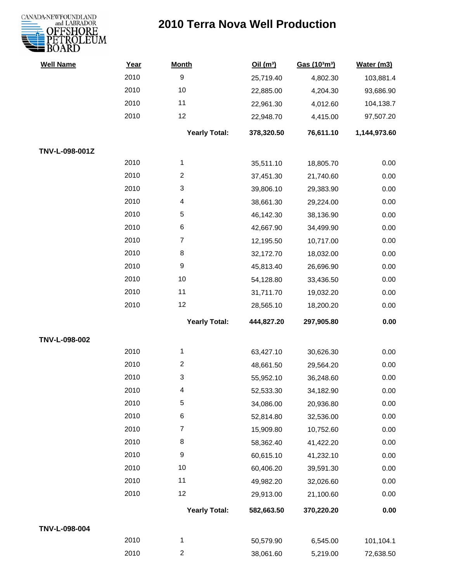

| <b>Well Name</b> | Year | <b>Month</b>         | Oil(m <sup>3</sup> ) | Gas (103m3) | Water (m3)   |
|------------------|------|----------------------|----------------------|-------------|--------------|
|                  | 2010 | $\boldsymbol{9}$     | 25,719.40            | 4,802.30    | 103,881.4    |
|                  | 2010 | 10                   | 22,885.00            | 4,204.30    | 93,686.90    |
|                  | 2010 | 11                   | 22,961.30            | 4,012.60    | 104,138.7    |
|                  | 2010 | 12                   | 22,948.70            | 4,415.00    | 97,507.20    |
|                  |      | <b>Yearly Total:</b> | 378,320.50           | 76,611.10   | 1,144,973.60 |
| TNV-L-098-001Z   |      |                      |                      |             |              |
|                  | 2010 | $\mathbf{1}$         | 35,511.10            | 18,805.70   | 0.00         |
|                  | 2010 | $\boldsymbol{2}$     | 37,451.30            | 21,740.60   | 0.00         |
|                  | 2010 | 3                    | 39,806.10            | 29,383.90   | 0.00         |
|                  | 2010 | 4                    | 38,661.30            | 29,224.00   | 0.00         |
|                  | 2010 | $\sqrt{5}$           | 46,142.30            | 38,136.90   | 0.00         |
|                  | 2010 | 6                    | 42,667.90            | 34,499.90   | 0.00         |
|                  | 2010 | $\overline{7}$       | 12,195.50            | 10,717.00   | 0.00         |
|                  | 2010 | 8                    | 32,172.70            | 18,032.00   | 0.00         |
|                  | 2010 | $\boldsymbol{9}$     | 45,813.40            | 26,696.90   | 0.00         |
|                  | 2010 | 10                   | 54,128.80            | 33,436.50   | 0.00         |
|                  | 2010 | 11                   | 31,711.70            | 19,032.20   | 0.00         |
|                  | 2010 | 12                   | 28,565.10            | 18,200.20   | 0.00         |
|                  |      | <b>Yearly Total:</b> | 444,827.20           | 297,905.80  | 0.00         |
| TNV-L-098-002    |      |                      |                      |             |              |
|                  | 2010 | $\mathbf 1$          | 63,427.10            | 30,626.30   | 0.00         |
|                  | 2010 | $\overline{2}$       | 48,661.50            | 29,564.20   | 0.00         |
|                  | 2010 | 3                    | 55,952.10            | 36,248.60   | 0.00         |
|                  | 2010 | 4                    | 52,533.30            | 34,182.90   | 0.00         |
|                  | 2010 | $\sqrt{5}$           | 34,086.00            | 20,936.80   | 0.00         |
|                  | 2010 | 6                    | 52,814.80            | 32,536.00   | 0.00         |
|                  | 2010 | $\overline{7}$       | 15,909.80            | 10,752.60   | 0.00         |
|                  | 2010 | 8                    | 58,362.40            | 41,422.20   | 0.00         |
|                  | 2010 | $\boldsymbol{9}$     | 60,615.10            | 41,232.10   | 0.00         |
|                  | 2010 | 10                   | 60,406.20            | 39,591.30   | 0.00         |
|                  | 2010 | 11                   | 49,982.20            | 32,026.60   | 0.00         |
|                  | 2010 | 12                   | 29,913.00            | 21,100.60   | 0.00         |
|                  |      | <b>Yearly Total:</b> | 582,663.50           | 370,220.20  | 0.00         |
| TNV-L-098-004    |      |                      |                      |             |              |
|                  | 2010 | 1                    | 50,579.90            | 6,545.00    | 101,104.1    |
|                  | 2010 | $\overline{c}$       | 38,061.60            | 5,219.00    | 72,638.50    |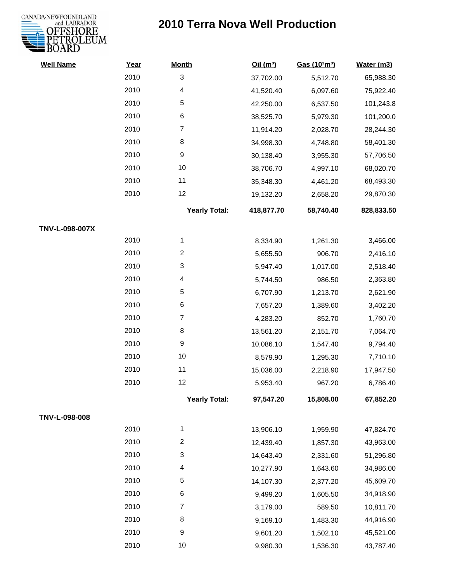

| <b>Well Name</b> | Year | <b>Month</b>         | Oil(m <sup>3</sup> ) | Gas (103m3) | Water (m3) |
|------------------|------|----------------------|----------------------|-------------|------------|
|                  | 2010 | 3                    | 37,702.00            | 5,512.70    | 65,988.30  |
|                  | 2010 | 4                    | 41,520.40            | 6,097.60    | 75,922.40  |
|                  | 2010 | 5                    | 42,250.00            | 6,537.50    | 101,243.8  |
|                  | 2010 | 6                    | 38,525.70            | 5,979.30    | 101,200.0  |
|                  | 2010 | $\overline{7}$       | 11,914.20            | 2,028.70    | 28,244.30  |
|                  | 2010 | 8                    | 34,998.30            | 4,748.80    | 58,401.30  |
|                  | 2010 | 9                    | 30,138.40            | 3,955.30    | 57,706.50  |
|                  | 2010 | 10                   | 38,706.70            | 4,997.10    | 68,020.70  |
|                  | 2010 | 11                   | 35,348.30            | 4,461.20    | 68,493.30  |
|                  | 2010 | 12                   | 19,132.20            | 2,658.20    | 29,870.30  |
|                  |      | <b>Yearly Total:</b> | 418,877.70           | 58,740.40   | 828,833.50 |
| TNV-L-098-007X   |      |                      |                      |             |            |
|                  | 2010 | $\mathbf{1}$         | 8,334.90             | 1,261.30    | 3,466.00   |
|                  | 2010 | $\overline{c}$       | 5,655.50             | 906.70      | 2,416.10   |
|                  | 2010 | 3                    | 5,947.40             | 1,017.00    | 2,518.40   |
|                  | 2010 | 4                    | 5,744.50             | 986.50      | 2,363.80   |
|                  | 2010 | 5                    | 6,707.90             | 1,213.70    | 2,621.90   |
|                  | 2010 | 6                    | 7,657.20             | 1,389.60    | 3,402.20   |
|                  | 2010 | $\overline{7}$       | 4,283.20             | 852.70      | 1,760.70   |
|                  | 2010 | 8                    | 13,561.20            | 2,151.70    | 7,064.70   |
|                  | 2010 | $\boldsymbol{9}$     | 10,086.10            | 1,547.40    | 9,794.40   |
|                  | 2010 | 10                   | 8,579.90             | 1,295.30    | 7,710.10   |
|                  | 2010 | 11                   | 15,036.00            | 2,218.90    | 17,947.50  |
|                  | 2010 | 12                   | 5,953.40             | 967.20      | 6,786.40   |
|                  |      | <b>Yearly Total:</b> | 97,547.20            | 15,808.00   | 67,852.20  |
| TNV-L-098-008    |      |                      |                      |             |            |
|                  | 2010 | 1                    | 13,906.10            | 1,959.90    | 47,824.70  |
|                  | 2010 | $\overline{c}$       | 12,439.40            | 1,857.30    | 43,963.00  |
|                  | 2010 | 3                    | 14,643.40            | 2,331.60    | 51,296.80  |
|                  | 2010 | 4                    | 10,277.90            | 1,643.60    | 34,986.00  |
|                  | 2010 | 5                    | 14,107.30            | 2,377.20    | 45,609.70  |
|                  | 2010 | 6                    | 9,499.20             | 1,605.50    | 34,918.90  |
|                  | 2010 | $\overline{7}$       | 3,179.00             | 589.50      | 10,811.70  |
|                  | 2010 | 8                    | 9,169.10             | 1,483.30    | 44,916.90  |
|                  | 2010 | 9                    | 9,601.20             | 1,502.10    | 45,521.00  |
|                  | 2010 | 10                   | 9,980.30             | 1,536.30    | 43,787.40  |